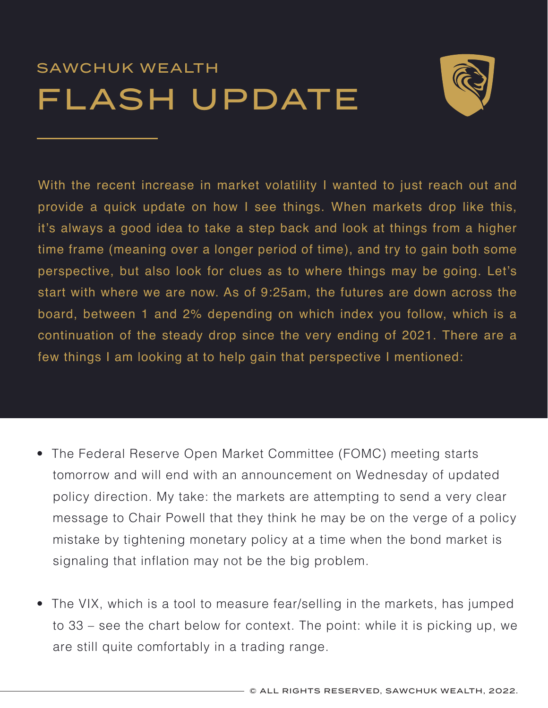## SAWCHUK WEALTH FLASH UPDATE



With the recent increase in market volatility I wanted to just reach out and provide a quick update on how I see things. When markets drop like this, it's always a good idea to take a step back and look at things from a higher time frame (meaning over a longer period of time), and try to gain both some perspective, but also look for clues as to where things may be going. Let's start with where we are now. As of 9:25am, the futures are down across the board, between 1 and 2% depending on which index you follow, which is a continuation of the steady drop since the very ending of 2021. There are a few things I am looking at to help gain that perspective I mentioned:

- The Federal Reserve Open Market Committee (FOMC) meeting starts tomorrow and will end with an announcement on Wednesday of updated policy direction. My take: the markets are attempting to send a very clear message to Chair Powell that they think he may be on the verge of a policy mistake by tightening monetary policy at a time when the bond market is signaling that inflation may not be the big problem.
- The VIX, which is a tool to measure fear/selling in the markets, has jumped to 33 – see the chart below for context. The point: while it is picking up, we are still quite comfortably in a trading range.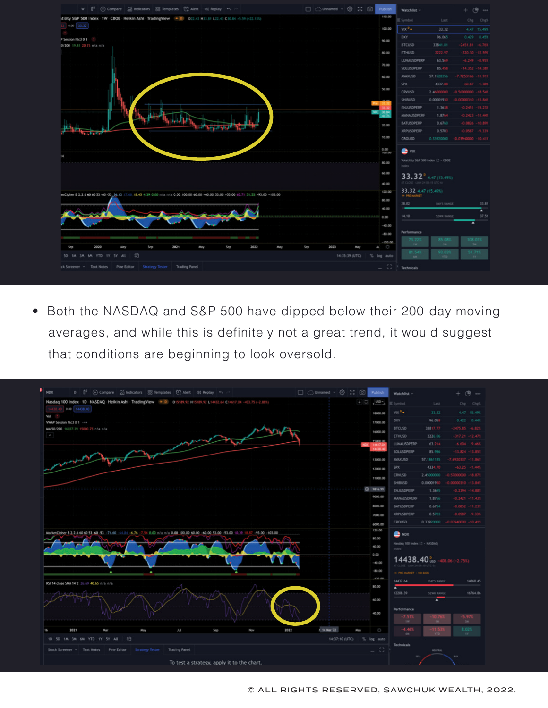

• Both the NASDAQ and S&P 500 have dipped below their 200-day moving averages, and while this is definitely not a great trend, it would suggest that conditions are beginning to look oversold.

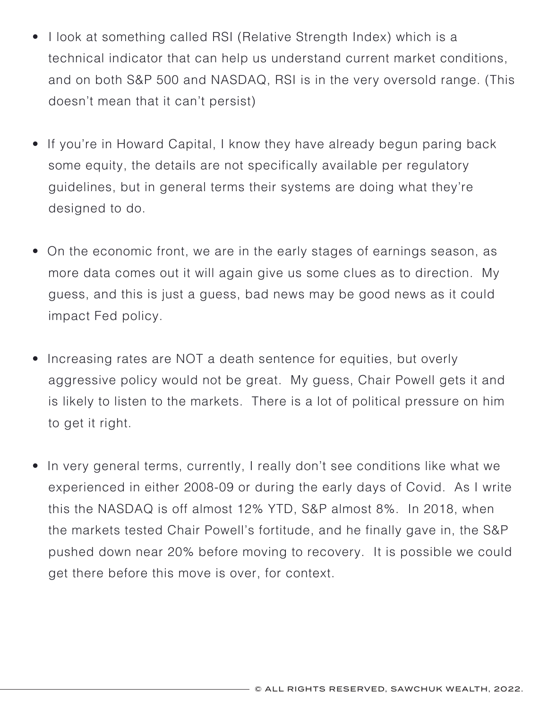- I look at something called RSI (Relative Strength Index) which is a technical indicator that can help us understand current market conditions, and on both S&P 500 and NASDAQ, RSI is in the very oversold range. (This doesn't mean that it can't persist)
- If you're in Howard Capital, I know they have already begun paring back some equity, the details are not specifically available per regulatory guidelines, but in general terms their systems are doing what they're designed to do.
- On the economic front, we are in the early stages of earnings season, as more data comes out it will again give us some clues as to direction. My guess, and this is just a guess, bad news may be good news as it could impact Fed policy.
- Increasing rates are NOT a death sentence for equities, but overly aggressive policy would not be great. My guess, Chair Powell gets it and is likely to listen to the markets. There is a lot of political pressure on him to get it right.
- In very general terms, currently, I really don't see conditions like what we experienced in either 2008-09 or during the early days of Covid. As I write this the NASDAQ is off almost 12% YTD, S&P almost 8%. In 2018, when the markets tested Chair Powell's fortitude, and he finally gave in, the S&P pushed down near 20% before moving to recovery. It is possible we could get there before this move is over, for context.